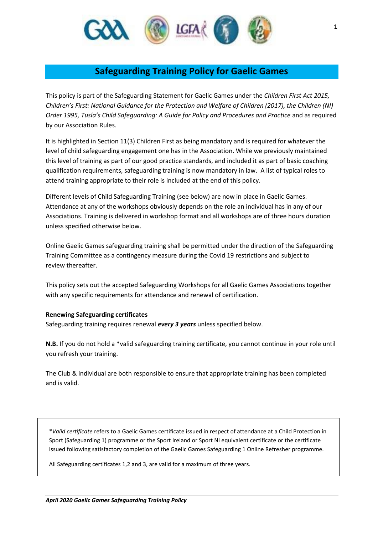

## **Safeguarding Training Policy for Gaelic Games**

This policy is part of the Safeguarding Statement for Gaelic Games under the *Children First Act 2015, Children's First: National Guidance for the Protection and Welfare of Children (2017), the Children (NI) Order 1995, Tusla's Child Safeguarding: A Guide for Policy and Procedures and Practice* and as required by our Association Rules.

It is highlighted in Section 11(3) Children First as being mandatory and is required for whatever the level of child safeguarding engagement one has in the Association. While we previously maintained this level of training as part of our good practice standards, and included it as part of basic coaching qualification requirements, safeguarding training is now mandatory in law. A list of typical roles to attend training appropriate to their role is included at the end of this policy.

Different levels of Child Safeguarding Training (see below) are now in place in Gaelic Games. Attendance at any of the workshops obviously depends on the role an individual has in any of our Associations. Training is delivered in workshop format and all workshops are of three hours duration unless specified otherwise below.

Online Gaelic Games safeguarding training shall be permitted under the direction of the Safeguarding Training Committee as a contingency measure during the Covid 19 restrictions and subject to review thereafter.

This policy sets out the accepted Safeguarding Workshops for all Gaelic Games Associations together with any specific requirements for attendance and renewal of certification.

### **Renewing Safeguarding certificates**

Safeguarding training requires renewal *every 3 years* unless specified below.

**N.B.** If you do not hold a \*valid safeguarding training certificate, you cannot continue in your role until you refresh your training.

The Club & individual are both responsible to ensure that appropriate training has been completed and is valid.

\**Valid certificate* refers to a Gaelic Games certificate issued in respect of attendance at a Child Protection in Sport (Safeguarding 1) programme or the Sport Ireland or Sport NI equivalent certificate or the certificate issued following satisfactory completion of the Gaelic Games Safeguarding 1 Online Refresher programme.

All Safeguarding certificates 1,2 and 3, are valid for a maximum of three years.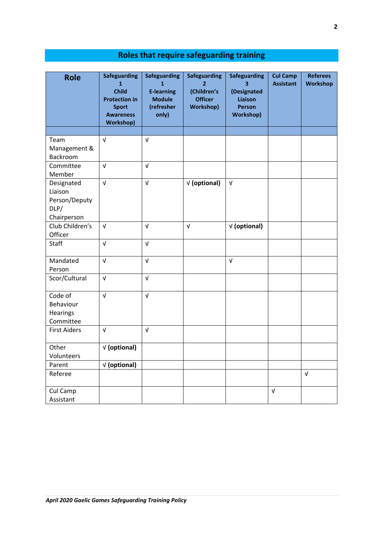| <b>Role</b>                                                   | <b>Safeguarding</b><br>$\mathbf{1}$<br><b>Child</b><br><b>Protection in</b><br><b>Sport</b><br><b>Awareness</b><br><b>Workshop)</b> | <b>Safeguarding</b><br>1<br><b>E-learning</b><br><b>Module</b><br>(refresher<br>only) | <b>Safeguarding</b><br>2<br>(Children's<br><b>Officer</b><br><b>Workshop)</b> | <b>Safeguarding</b><br>3<br>(Designated<br><b>Liaison</b><br><b>Person</b><br><b>Workshop)</b> | <b>Cul Camp</b><br><b>Assistant</b> | <b>Referees</b><br><b>Workshop</b> |
|---------------------------------------------------------------|-------------------------------------------------------------------------------------------------------------------------------------|---------------------------------------------------------------------------------------|-------------------------------------------------------------------------------|------------------------------------------------------------------------------------------------|-------------------------------------|------------------------------------|
| Team                                                          | $\sqrt{ }$                                                                                                                          | $\sqrt{ }$                                                                            |                                                                               |                                                                                                |                                     |                                    |
| Management &<br>Backroom                                      |                                                                                                                                     |                                                                                       |                                                                               |                                                                                                |                                     |                                    |
| Committee<br>Member                                           | $\sqrt{ }$                                                                                                                          | $\sqrt{ }$                                                                            |                                                                               |                                                                                                |                                     |                                    |
| Designated<br>Liaison<br>Person/Deputy<br>DLP/<br>Chairperson | $\sqrt{ }$                                                                                                                          | $\sqrt{ }$                                                                            | √ (optional)                                                                  | $\sqrt{ }$                                                                                     |                                     |                                    |
| Club Children's<br>Officer                                    | $\sqrt{ }$                                                                                                                          | $\sqrt{ }$                                                                            | $\sqrt{ }$                                                                    | √ (optional)                                                                                   |                                     |                                    |
| Staff                                                         | $\sqrt{ }$                                                                                                                          | $\sqrt{ }$                                                                            |                                                                               |                                                                                                |                                     |                                    |
| Mandated<br>Person                                            | $\sqrt{ }$                                                                                                                          | $\sqrt{ }$                                                                            |                                                                               | $\sqrt{ }$                                                                                     |                                     |                                    |
| Scor/Cultural                                                 | $\sqrt{ }$                                                                                                                          | $\sqrt{ }$                                                                            |                                                                               |                                                                                                |                                     |                                    |
| Code of<br>Behaviour<br><b>Hearings</b><br>Committee          | $\sqrt{ }$                                                                                                                          | $\sqrt{ }$                                                                            |                                                                               |                                                                                                |                                     |                                    |
| <b>First Aiders</b>                                           | $\sqrt{ }$                                                                                                                          | $\sqrt{ }$                                                                            |                                                                               |                                                                                                |                                     |                                    |
| Other<br>Volunteers                                           | √ (optional)                                                                                                                        |                                                                                       |                                                                               |                                                                                                |                                     |                                    |
| Parent                                                        | √ (optional)                                                                                                                        |                                                                                       |                                                                               |                                                                                                |                                     |                                    |
| Referee                                                       |                                                                                                                                     |                                                                                       |                                                                               |                                                                                                |                                     | $\sqrt{ }$                         |
| Cul Camp<br>Assistant                                         |                                                                                                                                     |                                                                                       |                                                                               |                                                                                                | $\sqrt{ }$                          |                                    |

# **Roles that require safeguarding training**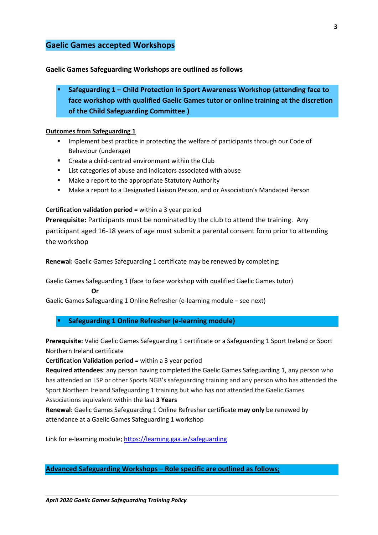### **Gaelic Games accepted Workshops**

### **Gaelic Games Safeguarding Workshops are outlined as follows**

▪ **Safeguarding 1 – Child Protection in Sport Awareness Workshop (attending face to face workshop with qualified Gaelic Games tutor or online training at the discretion of the Child Safeguarding Committee )**

### **Outcomes from Safeguarding 1**

- Implement best practice in protecting the welfare of participants through our Code of Behaviour (underage)
- Create a child-centred environment within the Club
- List categories of abuse and indicators associated with abuse
- Make a report to the appropriate Statutory Authority
- Make a report to a Designated Liaison Person, and or Association's Mandated Person

### **Certification validation period =** within a 3 year period

**Prerequisite:** Participants must be nominated by the club to attend the training. Any participant aged 16-18 years of age must submit a parental consent form prior to attending the workshop

**Renewal:** Gaelic Games Safeguarding 1 certificate may be renewed by completing;

Gaelic Games Safeguarding 1 (face to face workshop with qualified Gaelic Games tutor)

**Or**

Gaelic Games Safeguarding 1 Online Refresher (e-learning module – see next)

### **Safeguarding 1 Online Refresher (e-learning module)**

**Prerequisite:** Valid Gaelic Games Safeguarding 1 certificate or a Safeguarding 1 Sport Ireland or Sport Northern Ireland certificate

**Certification Validation period** = within a 3 year period

**Required attendees**: any person having completed the Gaelic Games Safeguarding 1, any person who has attended an LSP or other Sports NGB's safeguarding training and any person who has attended the Sport Northern Ireland Safeguarding 1 training but who has not attended the Gaelic Games Associations equivalent within the last **3 Years**

**Renewal:** Gaelic Games Safeguarding 1 Online Refresher certificate **may only** be renewed by attendance at a Gaelic Games Safeguarding 1 workshop

Link for e-learning module; <https://learning.gaa.ie/safeguarding>

**Advanced Safeguarding Workshops – Role specific are outlined as follows;**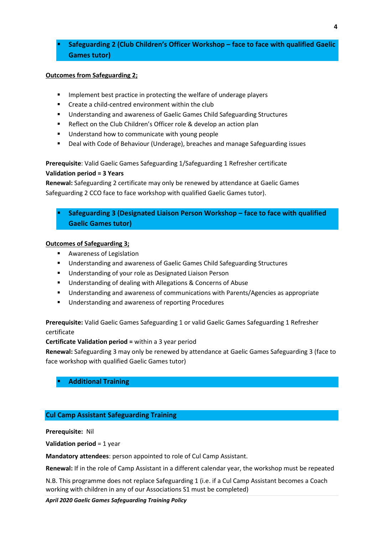### ▪ **Safeguarding 2 (Club Children's Officer Workshop – face to face with qualified Gaelic Games tutor)**

### **Outcomes from Safeguarding 2;**

- Implement best practice in protecting the welfare of underage players
- Create a child-centred environment within the club
- Understanding and awareness of Gaelic Games Child Safeguarding Structures
- Reflect on the Club Children's Officer role & develop an action plan
- Understand how to communicate with young people
- Deal with Code of Behaviour (Underage), breaches and manage Safeguarding issues

**Prerequisite**: Valid Gaelic Games Safeguarding 1/Safeguarding 1 Refresher certificate **Validation period = 3 Years**

**Renewal:** Safeguarding 2 certificate may only be renewed by attendance at Gaelic Games Safeguarding 2 CCO face to face workshop with qualified Gaelic Games tutor).

▪ **Safeguarding 3 (Designated Liaison Person Workshop – face to face with qualified Gaelic Games tutor)** 

### **Outcomes of Safeguarding 3;**

- Awareness of Legislation
- Understanding and awareness of Gaelic Games Child Safeguarding Structures
- Understanding of your role as Designated Liaison Person
- Understanding of dealing with Allegations & Concerns of Abuse
- Understanding and awareness of communications with Parents/Agencies as appropriate
- Understanding and awareness of reporting Procedures

**Prerequisite:** Valid Gaelic Games Safeguarding 1 or valid Gaelic Games Safeguarding 1 Refresher certificate

**Certificate Validation period =** within a 3 year period

**Renewal:** Safeguarding 3 may only be renewed by attendance at Gaelic Games Safeguarding 3 (face to face workshop with qualified Gaelic Games tutor)

**Additional Training** 

### **Cul Camp Assistant Safeguarding Training**

**Prerequisite:** Nil

**Validation period** = 1 year

**Mandatory attendees**: person appointed to role of Cul Camp Assistant.

**Renewal:** If in the role of Camp Assistant in a different calendar year, the workshop must be repeated

N.B. This programme does not replace Safeguarding 1 (i.e. if a Cul Camp Assistant becomes a Coach working with children in any of our Associations S1 must be completed)

*April 2020 Gaelic Games Safeguarding Training Policy*